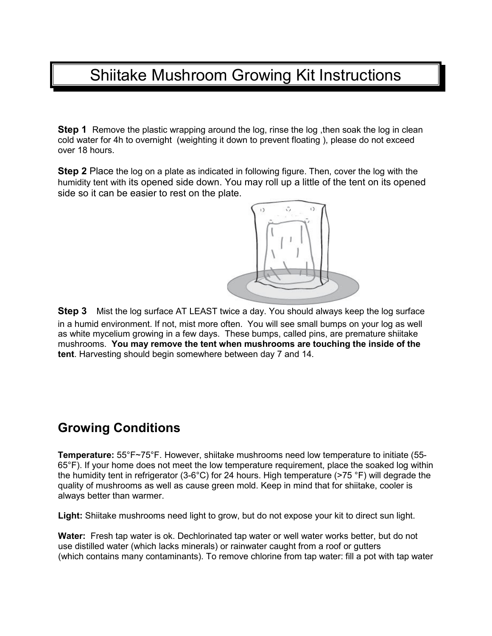# Shiitake Mushroom Growing Kit Instructions

**Step 1** Remove the plastic wrapping around the log, rinse the log, then soak the log in clean cold water for 4h to overnight (weighting it down to prevent floating ), please do not exceed over 18 hours.

**Step 2** Place the log on a plate as indicated in following figure. Then, cover the log with the humidity tent with its opened side down. You may roll up a little of the tent on its opened side so it can be easier to rest on the plate.



**Step 3** Mist the log surface AT LEAST twice a day. You should always keep the log surface in a humid environment. If not, mist more often. You will see small bumps on your log as well as white mycelium growing in a few days. These bumps, called pins, are premature shiitake mushrooms. **You may remove the tent when mushrooms are touching the inside of the tent**. Harvesting should begin somewhere between day 7 and 14.

## **Growing Conditions**

**Temperature:** 55°F~75°F. However, shiitake mushrooms need low temperature to initiate (55- 65°F). If your home does not meet the low temperature requirement, place the soaked log within the humidity tent in refrigerator (3-6°C) for 24 hours. High temperature (>75 °F) will degrade the quality of mushrooms as well as cause green mold. Keep in mind that for shiitake, cooler is always better than warmer.

**Light:** Shiitake mushrooms need light to grow, but do not expose your kit to direct sun light.

**Water:** Fresh tap water is ok. Dechlorinated tap water or well water works better, but do not use distilled water (which lacks minerals) or rainwater caught from a roof or gutters (which contains many contaminants). To remove chlorine from tap water: fill a pot with tap water